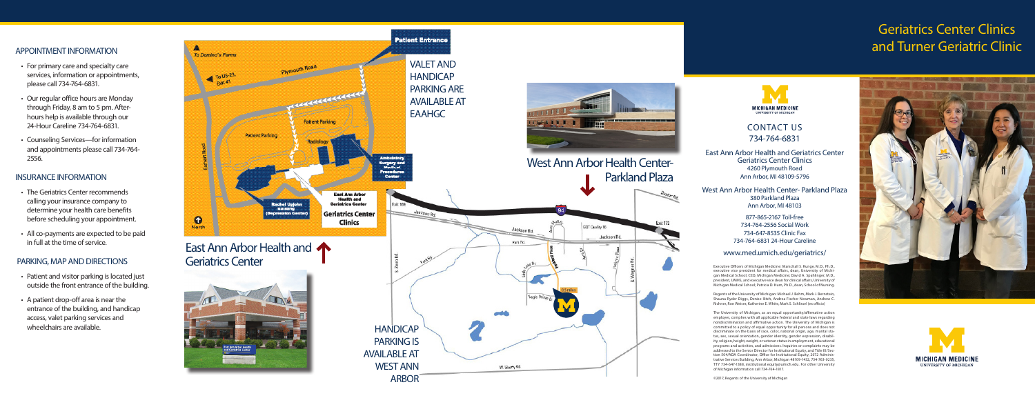#### APPOINTMENT INFORMATION

- For primary care and specialty care services, information or appointments, please call 734-764-6831.
- Our regular office hours are Monday through Friday, 8 am to 5 pm. Afterhours help is available through our 24-Hour Careline 734-764-6831.
- Counseling Services—for information and appointments please call 734-764- 2556.

#### INSURANCE INFORMATION

- The Geriatrics Center recommends calling your insurance company to determine your health care benefits before scheduling your appointment.
- All co-payments are expected to be paid in full at the time of service.

## PARKING, MAP AND DIRECTIONS<br>• Patient and visitor parking is located just

- outside the front entrance of the building.
- A patient drop-off area is near the entrance of the building, and handicap access, valet parking services and wheelchairs are available.

#### CONTACT US 734-764-6831

East Ann Arbor Health and Geriatrics Center Geriatrics Center Clinics 4260 Plymouth Road Ann Arbor, MI 48109-5796

West Ann Arbor Health Center- Parkland Plaza 380 Parkland Plaza Ann Arbor, MI 48103

> 877-865-2167 Toll-free 734-764-2556 Social Work 734-647-8535 Clinic Fax 734-764-6831 24-Hour Careline

#### www.med.umich.edu/geriatrics/

### Geriatrics Center Clinics and Turner Geriatric Clinic



Executive Officers of Michigan Medicine: Marschall S. Runge, M.D., Ph.D., executive vice president for medical affairs, dean, University of Michi gan Medical School, CEO, Michigan Medicine; David A. Spahlinger, M.D., president, UMHS, and executive vice dean for clinical affairs, University of Michigan Medical School; Patricia D. Hurn, Ph.D., dean, School of Nursing.

Regents of the University of Michigan: Michael J. Behm, Mark J. Bernstein, Shauna Ryder Diggs, Denise Ilitch, Andrea Fischer Newman, Andrew C. Richner, Ron Weiser, Katherine E. White, Mark S. Schlissel (ex officio)

The University of Michigan, as an equal opportunity/affirmative action employer, complies with all applicable federal and state laws regarding nondiscrimination and affirmative action. The University of Michigan is committed to a policy of equal opportunity for all persons and does not discriminate on the basis of race, color, national origin, age, marital sta tus, sex, sexual orientation, gender identity, gender expression, disabil ity, religion, height, weight, or veteran status in employment, educational programs and activities, and admissions. Inquiries or complaints may be addressed to the Senior Director for Institutional Equity, and Title IX/Sec tion 504/ADA Coordinator, Office for Institutional Equity, 2072 Adminis trative Services Building, Ann Arbor, Michigan 48109-1432, 734-763-0235, TTY 734-647-1388, institutional.equity@umich.edu. For other University of Michigan information call 734-764-1817.